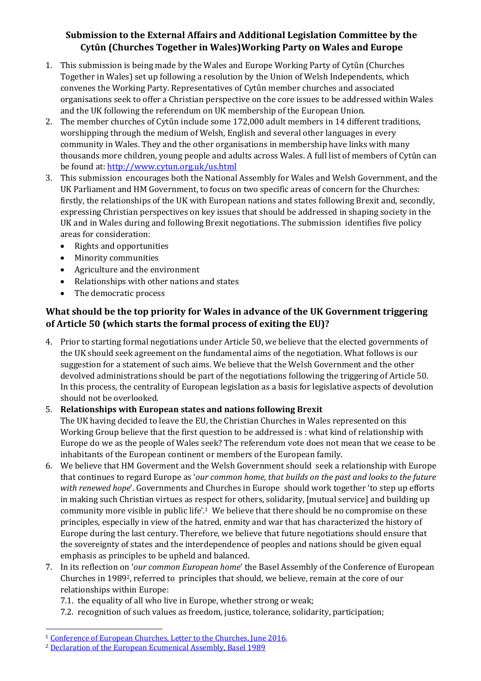# **Submission to the External Affairs and Additional Legislation Committee by the Cytûn (Churches Together in Wales)Working Party on Wales and Europe**

- 1. This submission is being made by the Wales and Europe Working Party of Cytûn (Churches Together in Wales) set up following a resolution by the Union of Welsh Independents, which convenes the Working Party. Representatives of Cytûn member churches and associated organisations seek to offer a Christian perspective on the core issues to be addressed within Wales and the UK following the referendum on UK membership of the European Union.
- 2. The member churches of Cytûn include some 172,000 adult members in 14 different traditions, worshipping through the medium of Welsh, English and several other languages in every community in Wales. They and the other organisations in membership have links with many thousands more children, young people and adults across Wales. A full list of members of Cytûn can be found at:<http://www.cytun.org.uk/us.html>
- 3. This submission encourages both the National Assembly for Wales and Welsh Government, and the UK Parliament and HM Government, to focus on two specific areas of concern for the Churches: firstly, the relationships of the UK with European nations and states following Brexit and, secondly, expressing Christian perspectives on key issues that should be addressed in shaping society in the UK and in Wales during and following Brexit negotiations. The submission identifies five policy areas for consideration:
	- Rights and opportunities
	- Minority communities
	- Agriculture and the environment
	- Relationships with other nations and states
	- The democratic process

# **What should be the top priority for Wales in advance of the UK Government triggering of Article 50 (which starts the formal process of exiting the EU)?**

4. Prior to starting formal negotiations under Article 50, we believe that the elected governments of the UK should seek agreement on the fundamental aims of the negotiation. What follows is our suggestion for a statement of such aims. We believe that the Welsh Government and the other devolved administrations should be part of the negotiations following the triggering of Article 50. In this process, the centrality of European legislation as a basis for legislative aspects of devolution should not be overlooked.

### 5. **Relationships with European states and nations following Brexit**

The UK having decided to leave the EU, the Christian Churches in Wales represented on this Working Group believe that the first question to be addressed is : what kind of relationship with Europe do we as the people of Wales seek? The referendum vote does not mean that we cease to be inhabitants of the European continent or members of the European family.

- 6. We believe that HM Goverment and the Welsh Government should seek a relationship with Europe that continues to regard Europe as '*our common home, that builds on the past and looks to the future with renewed hope*'. Governments and Churches in Europe should work together 'to step up efforts in making such Christian virtues as respect for others, solidarity, [mutual service] and building up community more visible in public life'.1 We believe that there should be no compromise on these principles, especially in view of the hatred, enmity and war that has characterized the history of Europe during the last century. Therefore, we believe that future negotiations should ensure that the sovereignty of states and the interdependence of peoples and nations should be given equal emphasis as principles to be upheld and balanced.
- 7. In its reflection on '*our common European home*' the Basel Assembly of the Conference of European Churches in 19892, referred to principles that should, we believe, remain at the core of our relationships within Europe:
	- 7.1. the equality of all who live in Europe, whether strong or weak;
	- 7.2. recognition of such values as freedom, justice, tolerance, solidarity, participation;

 $\overline{\phantom{0}}$ 

<sup>1</sup> [Conference of European Churches, Letter to the Churches, June 2016.](http://www.ceceurope.org/wp-content/uploads/2016/06/1GB2016_Doc15-Open-letter-Future-of-Europe.pdf)

<sup>2</sup> [Declaration of the European Ecumenical Assembly, Basel 1989](http://oikoumene.net/eng.regional/eng.reg.basel/index.html)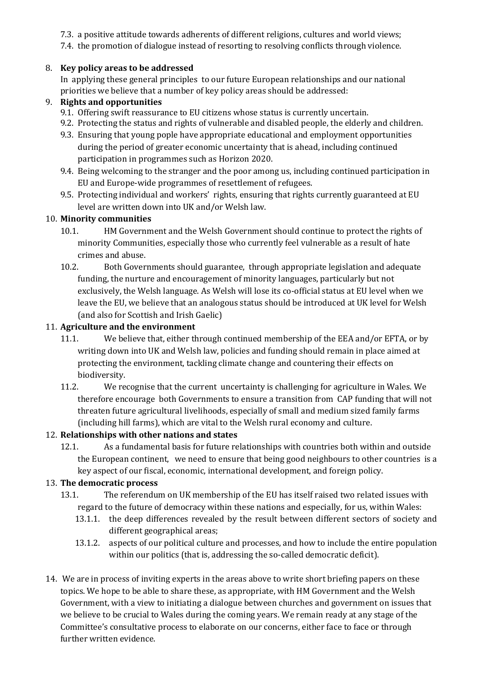- 7.3. a positive attitude towards adherents of different religions, cultures and world views;
- 7.4. the promotion of dialogue instead of resorting to resolving conflicts through violence.

## 8. **Key policy areas to be addressed**

In applying these general principles to our future European relationships and our national priorities we believe that a number of key policy areas should be addressed:

## 9. **Rights and opportunities**

- 9.1. Offering swift reassurance to EU citizens whose status is currently uncertain.
- 9.2. Protecting the status and rights of vulnerable and disabled people, the elderly and children.
- 9.3. Ensuring that young pople have appropriate educational and employment opportunities during the period of greater economic uncertainty that is ahead, including continued participation in programmes such as Horizon 2020.
- 9.4. Being welcoming to the stranger and the poor among us, including continued participation in EU and Europe-wide programmes of resettlement of refugees.
- 9.5. Protecting individual and workers' rights, ensuring that rights currently guaranteed at EU level are written down into UK and/or Welsh law.

## 10. **Minority communities**

- 10.1. HM Government and the Welsh Government should continue to protect the rights of minority Communities, especially those who currently feel vulnerable as a result of hate crimes and abuse.
- 10.2. Both Governments should guarantee, through appropriate legislation and adequate funding, the nurture and encouragement of minority languages, particularly but not exclusively, the Welsh language. As Welsh will lose its co-official status at EU level when we leave the EU, we believe that an analogous status should be introduced at UK level for Welsh (and also for Scottish and Irish Gaelic)

### 11. **Agriculture and the environment**

- 11.1. We believe that, either through continued membership of the EEA and/or EFTA, or by writing down into UK and Welsh law, policies and funding should remain in place aimed at protecting the environment, tackling climate change and countering their effects on biodiversity.
- 11.2. We recognise that the current uncertainty is challenging for agriculture in Wales. We therefore encourage both Governments to ensure a transition from CAP funding that will not threaten future agricultural livelihoods, especially of small and medium sized family farms (including hill farms), which are vital to the Welsh rural economy and culture.

## 12. **Relationships with other nations and states**

12.1. As a fundamental basis for future relationships with countries both within and outside the European continent, we need to ensure that being good neighbours to other countries is a key aspect of our fiscal, economic, international development, and foreign policy.

## 13. **The democratic process**

- 13.1. The referendum on UK membership of the EU has itself raised two related issues with regard to the future of democracy within these nations and especially, for us, within Wales:
	- 13.1.1. the deep differences revealed by the result between different sectors of society and different geographical areas;
	- 13.1.2. aspects of our political culture and processes, and how to include the entire population within our politics (that is, addressing the so-called democratic deficit).
- 14. We are in process of inviting experts in the areas above to write short briefing papers on these topics. We hope to be able to share these, as appropriate, with HM Government and the Welsh Government, with a view to initiating a dialogue between churches and government on issues that we believe to be crucial to Wales during the coming years. We remain ready at any stage of the Committee's consultative process to elaborate on our concerns, either face to face or through further written evidence.